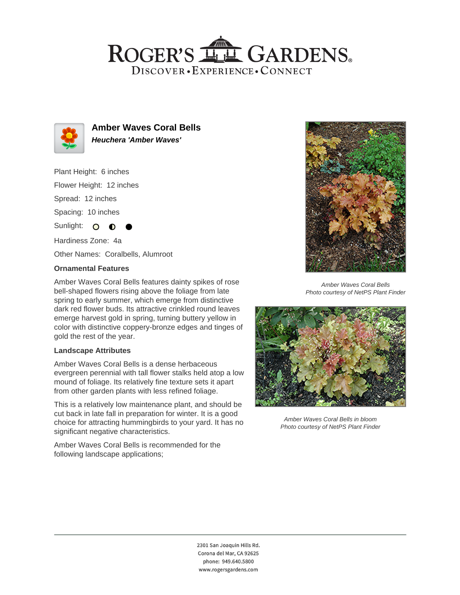## ROGER'S LL GARDENS. DISCOVER · EXPERIENCE · CONNECT



**Amber Waves Coral Bells Heuchera 'Amber Waves'**

Plant Height: 6 inches

Flower Height: 12 inches

Spread: 12 inches

Spacing: 10 inches

Sunlight: O

Hardiness Zone: 4a Other Names: Coralbells, Alumroot

### **Ornamental Features**

Amber Waves Coral Bells features dainty spikes of rose bell-shaped flowers rising above the foliage from late spring to early summer, which emerge from distinctive dark red flower buds. Its attractive crinkled round leaves emerge harvest gold in spring, turning buttery yellow in color with distinctive coppery-bronze edges and tinges of gold the rest of the year.

### **Landscape Attributes**

Amber Waves Coral Bells is a dense herbaceous evergreen perennial with tall flower stalks held atop a low mound of foliage. Its relatively fine texture sets it apart from other garden plants with less refined foliage.

This is a relatively low maintenance plant, and should be cut back in late fall in preparation for winter. It is a good choice for attracting hummingbirds to your yard. It has no significant negative characteristics.

Amber Waves Coral Bells is recommended for the following landscape applications;



Amber Waves Coral Bells Photo courtesy of NetPS Plant Finder



Amber Waves Coral Bells in bloom Photo courtesy of NetPS Plant Finder